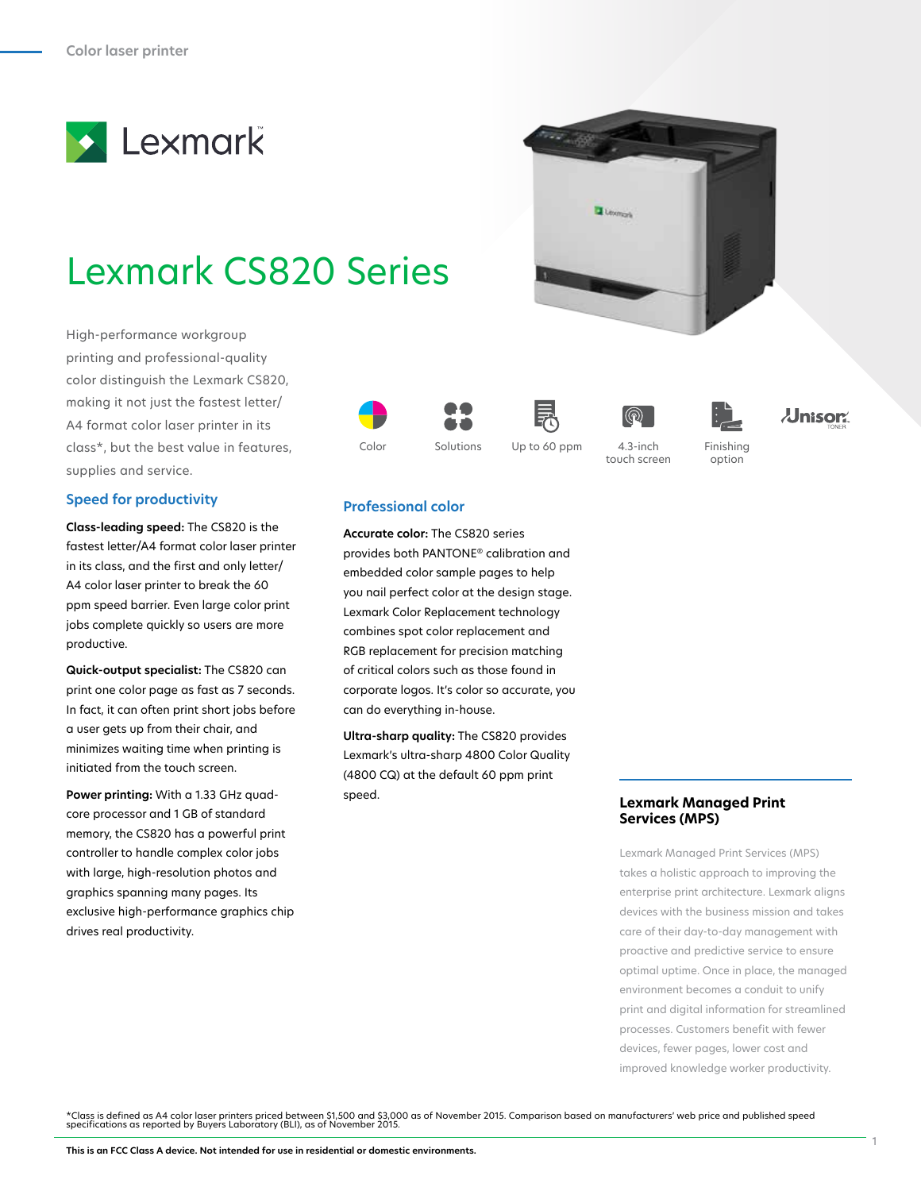

# Lexmark CS820 Series

High-performance workgroup printing and professional-quality color distinguish the Lexmark CS820, making it not just the fastest letter/ A4 format color laser printer in its class\*, but the best value in features, supplies and service.

# **Speed for productivity**

**Class-leading speed:** The CS820 is the fastest letter/A4 format color laser printer in its class, and the first and only letter/ A4 color laser printer to break the 60 ppm speed barrier. Even large color print jobs complete quickly so users are more productive.

**Quick-output specialist:** The CS820 can print one color page as fast as 7 seconds. In fact, it can often print short jobs before a user gets up from their chair, and minimizes waiting time when printing is initiated from the touch screen.

**Power printing:** With a 1.33 GHz quadcore processor and 1 GB of standard memory, the CS820 has a powerful print controller to handle complex color jobs with large, high-resolution photos and graphics spanning many pages. Its exclusive high-performance graphics chip drives real productivity.







4.3-inch touch screen



option



# **Professional color**

**Accurate color:** The CS820 series provides both PANTONE® calibration and embedded color sample pages to help you nail perfect color at the design stage. Lexmark Color Replacement technology combines spot color replacement and RGB replacement for precision matching of critical colors such as those found in corporate logos. It's color so accurate, you can do everything in-house.

**Ultra-sharp quality:** The CS820 provides Lexmark's ultra-sharp 4800 Color Quality (4800 CQ) at the default 60 ppm print speed.

# **Lexmark Managed Print Services (MPS)**

Lexmark Managed Print Services (MPS) takes a holistic approach to improving the enterprise print architecture. Lexmark aligns devices with the business mission and takes care of their day-to-day management with proactive and predictive service to ensure optimal uptime. Once in place, the managed environment becomes a conduit to unify print and digital information for streamlined processes. Customers benefit with fewer devices, fewer pages, lower cost and improved knowledge worker productivity.

\*Class is defined as A4 color laser printers priced between \$1,500 and \$3,000 as of November 2015. Comparison based on manufacturers' web price and published speed<br>specifications as reported by Buyers Laboratory (BLI), as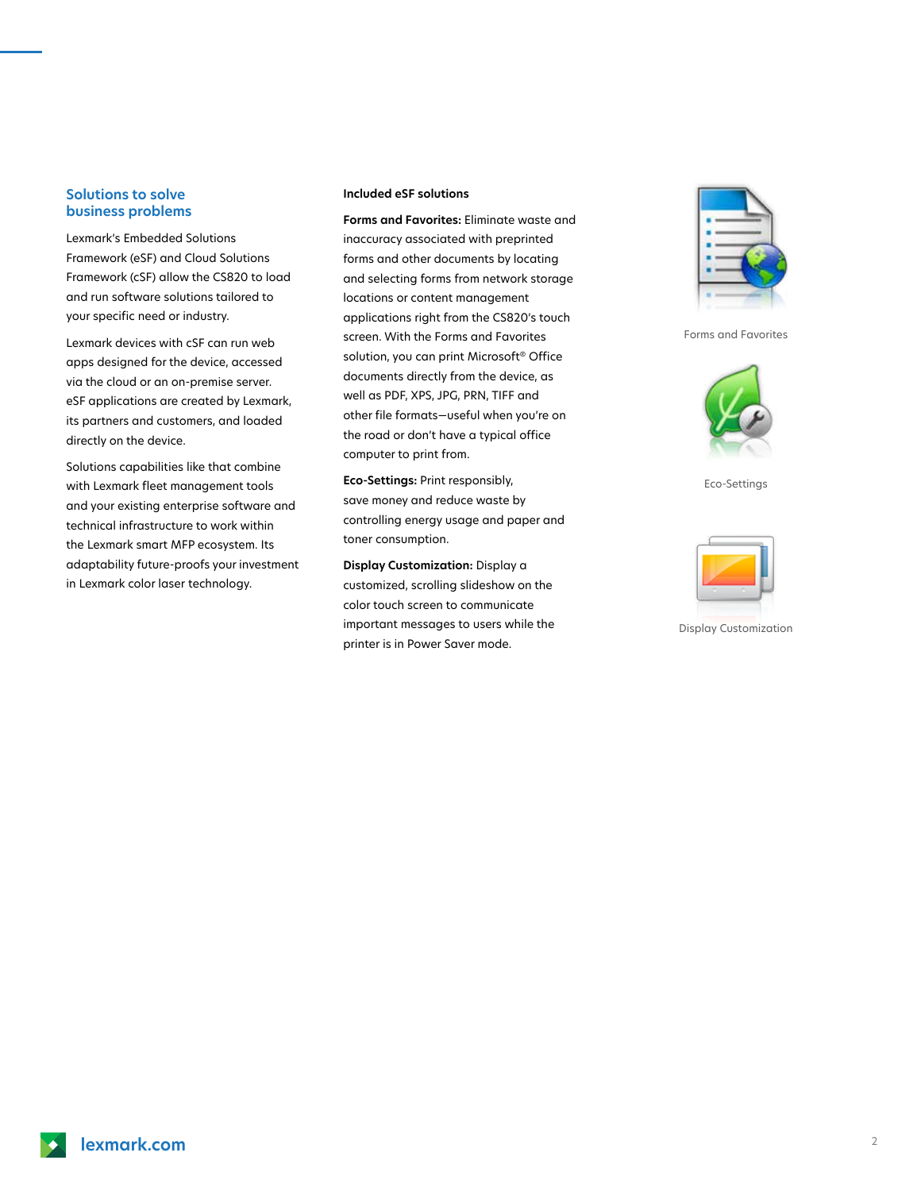## **Solutions to solve business problems**

Lexmark's Embedded Solutions Framework (eSF) and Cloud Solutions Framework (cSF) allow the CS820 to load and run software solutions tailored to your specific need or industry.

Lexmark devices with cSF can run web apps designed for the device, accessed via the cloud or an on-premise server. eSF applications are created by Lexmark, its partners and customers, and loaded directly on the device.

Solutions capabilities like that combine with Lexmark fleet management tools and your existing enterprise software and technical infrastructure to work within the Lexmark smart MFP ecosystem. Its adaptability future-proofs your investment in Lexmark color laser technology.

#### **Included eSF solutions**

**Forms and Favorites:** Eliminate waste and inaccuracy associated with preprinted forms and other documents by locating and selecting forms from network storage locations or content management applications right from the CS820's touch screen. With the Forms and Favorites solution, you can print Microsoft® Office documents directly from the device, as well as PDF, XPS, JPG, PRN, TIFF and other file formats—useful when you're on the road or don't have a typical office computer to print from.

**Eco-Settings:** Print responsibly, save money and reduce waste by controlling energy usage and paper and toner consumption.

**Display Customization:** Display a customized, scrolling slideshow on the color touch screen to communicate important messages to users while the printer is in Power Saver mode.



Forms and Favorites



Eco-Settings



Display Customization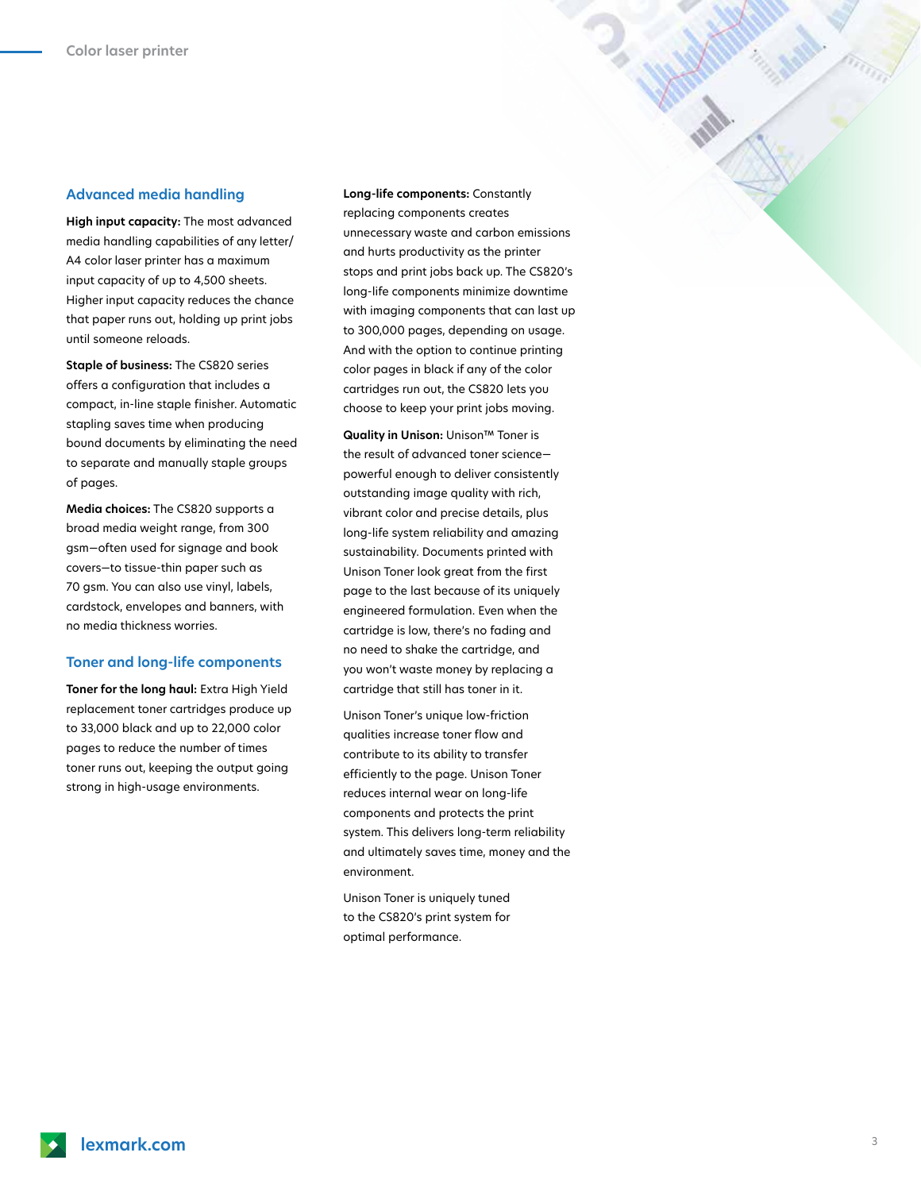### **Advanced media handling**

**High input capacity:** The most advanced media handling capabilities of any letter/ A4 color laser printer has a maximum input capacity of up to 4,500 sheets. Higher input capacity reduces the chance that paper runs out, holding up print jobs until someone reloads.

**Staple of business:** The CS820 series offers a configuration that includes a compact, in-line staple finisher. Automatic stapling saves time when producing bound documents by eliminating the need to separate and manually staple groups of pages.

**Media choices:** The CS820 supports a broad media weight range, from 300 gsm—often used for signage and book covers—to tissue-thin paper such as 70 gsm. You can also use vinyl, labels, cardstock, envelopes and banners, with no media thickness worries.

#### **Toner and long-life components**

**Toner for the long haul:** Extra High Yield replacement toner cartridges produce up to 33,000 black and up to 22,000 color pages to reduce the number of times toner runs out, keeping the output going strong in high-usage environments.

**Long-life components:** Constantly replacing components creates unnecessary waste and carbon emissions and hurts productivity as the printer stops and print jobs back up. The CS820's long-life components minimize downtime with imaging components that can last up to 300,000 pages, depending on usage. And with the option to continue printing color pages in black if any of the color cartridges run out, the CS820 lets you choose to keep your print jobs moving.

**Quality in Unison:** Unison™ Toner is the result of advanced toner science powerful enough to deliver consistently outstanding image quality with rich, vibrant color and precise details, plus long-life system reliability and amazing sustainability. Documents printed with Unison Toner look great from the first page to the last because of its uniquely engineered formulation. Even when the cartridge is low, there's no fading and no need to shake the cartridge, and you won't waste money by replacing a cartridge that still has toner in it.

Unison Toner's unique low-friction qualities increase toner flow and contribute to its ability to transfer efficiently to the page. Unison Toner reduces internal wear on long-life components and protects the print system. This delivers long-term reliability and ultimately saves time, money and the environment.

Unison Toner is uniquely tuned to the CS820's print system for optimal performance.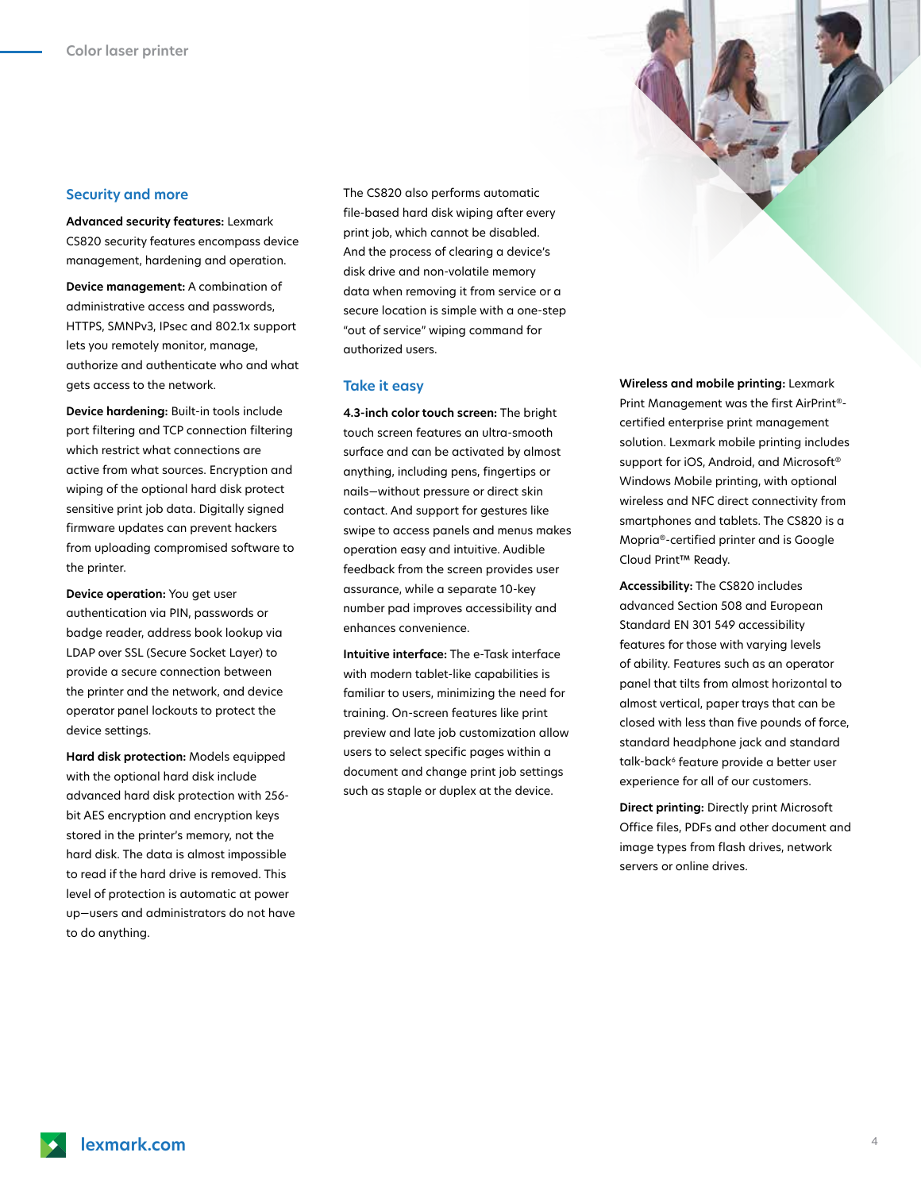### **Security and more**

**Advanced security features:** Lexmark CS820 security features encompass device management, hardening and operation.

**Device management:** A combination of administrative access and passwords, HTTPS, SMNPv3, IPsec and 802.1x support lets you remotely monitor, manage, authorize and authenticate who and what gets access to the network.

**Device hardening:** Built-in tools include port filtering and TCP connection filtering which restrict what connections are active from what sources. Encryption and wiping of the optional hard disk protect sensitive print job data. Digitally signed firmware updates can prevent hackers from uploading compromised software to the printer.

**Device operation:** You get user authentication via PIN, passwords or badge reader, address book lookup via LDAP over SSL (Secure Socket Layer) to provide a secure connection between the printer and the network, and device operator panel lockouts to protect the device settings.

**Hard disk protection:** Models equipped with the optional hard disk include advanced hard disk protection with 256 bit AES encryption and encryption keys stored in the printer's memory, not the hard disk. The data is almost impossible to read if the hard drive is removed. This level of protection is automatic at power up—users and administrators do not have to do anything.

The CS820 also performs automatic file-based hard disk wiping after every print job, which cannot be disabled. And the process of clearing a device's disk drive and non-volatile memory data when removing it from service or a secure location is simple with a one-step "out of service" wiping command for authorized users.

#### **Take it easy**

**4.3-inch color touch screen:** The bright touch screen features an ultra-smooth surface and can be activated by almost anything, including pens, fingertips or nails—without pressure or direct skin contact. And support for gestures like swipe to access panels and menus makes operation easy and intuitive. Audible feedback from the screen provides user assurance, while a separate 10-key number pad improves accessibility and enhances convenience.

**Intuitive interface:** The e-Task interface with modern tablet-like capabilities is familiar to users, minimizing the need for training. On-screen features like print preview and late job customization allow users to select specific pages within a document and change print job settings such as staple or duplex at the device.

**Wireless and mobile printing:** Lexmark Print Management was the first AirPrint® certified enterprise print management solution. Lexmark mobile printing includes support for iOS, Android, and Microsoft® Windows Mobile printing, with optional wireless and NFC direct connectivity from smartphones and tablets. The CS820 is a Mopria®-certified printer and is Google Cloud Print™ Ready.

**Accessibility:** The CS820 includes advanced Section 508 and European Standard EN 301 549 accessibility features for those with varying levels of ability. Features such as an operator panel that tilts from almost horizontal to almost vertical, paper trays that can be closed with less than five pounds of force, standard headphone jack and standard talk-back<sup>6</sup> feature provide a better user experience for all of our customers.

**Direct printing:** Directly print Microsoft Office files, PDFs and other document and image types from flash drives, network servers or online drives.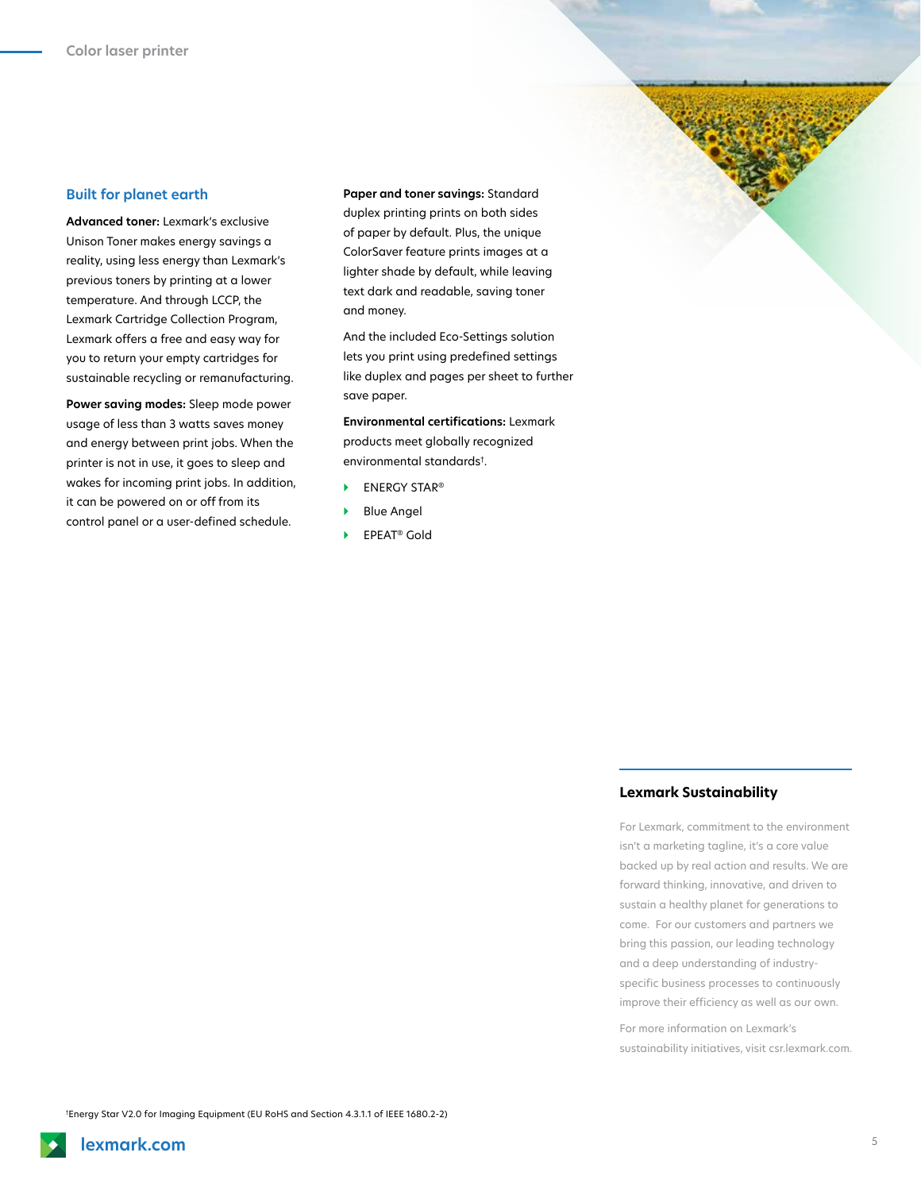#### **Built for planet earth**

**Advanced toner:** Lexmark's exclusive Unison Toner makes energy savings a reality, using less energy than Lexmark's previous toners by printing at a lower temperature. And through LCCP, the Lexmark Cartridge Collection Program, Lexmark offers a free and easy way for you to return your empty cartridges for sustainable recycling or remanufacturing.

**Power saving modes:** Sleep mode power usage of less than 3 watts saves money and energy between print jobs. When the printer is not in use, it goes to sleep and wakes for incoming print jobs. In addition, it can be powered on or off from its control panel or a user-defined schedule.

**Paper and toner savings:** Standard duplex printing prints on both sides of paper by default. Plus, the unique ColorSaver feature prints images at a lighter shade by default, while leaving text dark and readable, saving toner and money.

And the included Eco-Settings solution lets you print using predefined settings like duplex and pages per sheet to further save paper.

**Environmental certifications:** Lexmark products meet globally recognized environmental standards† .

- **ENERGY STAR®**
- **Blue Angel**
- } EPEAT® Gold

#### **Lexmark Sustainability**

For Lexmark, commitment to the environment isn't a marketing tagline, it's a core value backed up by real action and results. We are forward thinking, innovative, and driven to sustain a healthy planet for generations to come. For our customers and partners we bring this passion, our leading technology and a deep understanding of industryspecific business processes to continuously improve their efficiency as well as our own.

For more information on Lexmark's sustainability initiatives, visit csr.lexmark.com.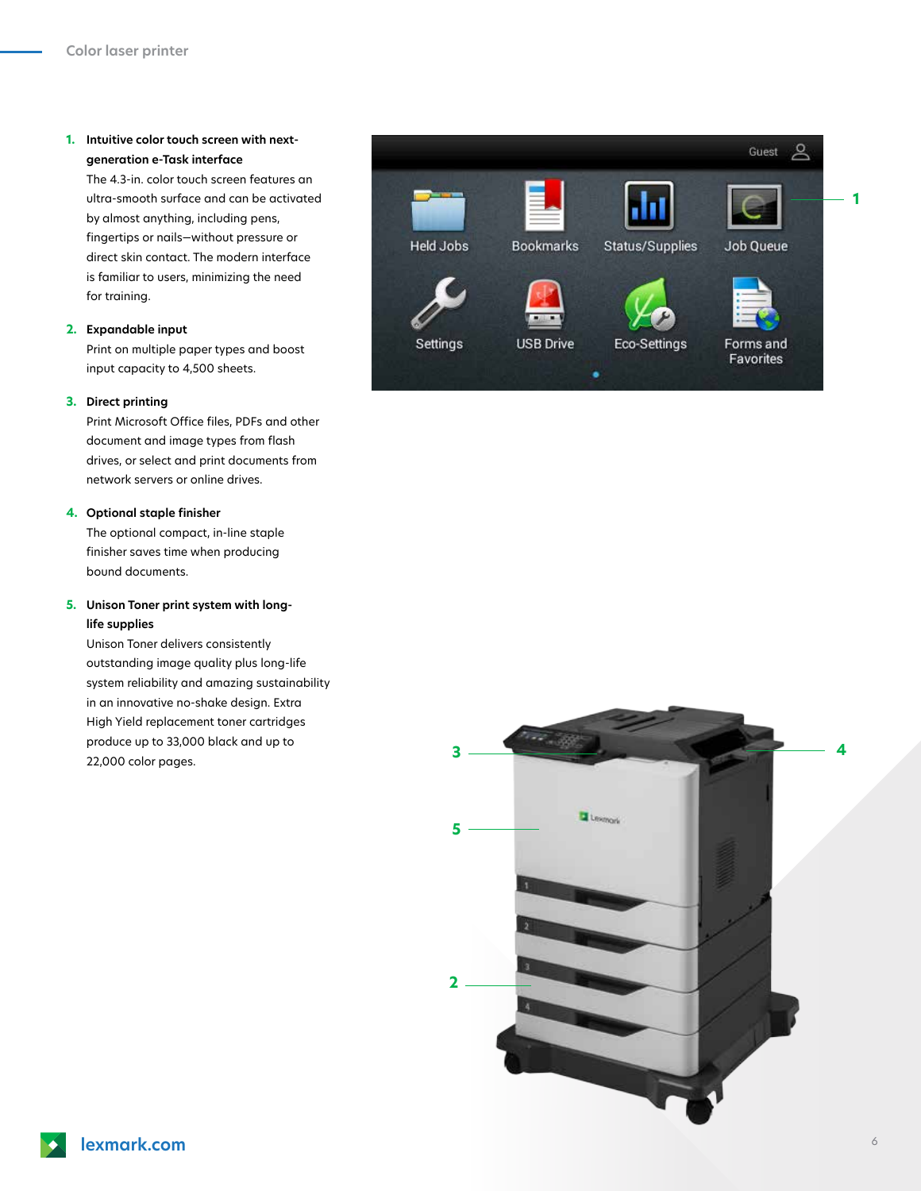# **1. Intuitive color touch screen with nextgeneration e-Task interface**

The 4.3-in. color touch screen features an ultra-smooth surface and can be activated by almost anything, including pens, fingertips or nails—without pressure or direct skin contact. The modern interface is familiar to users, minimizing the need for training.

#### **2. Expandable input**

Print on multiple paper types and boost input capacity to 4,500 sheets.

#### **3. Direct printing**

Print Microsoft Office files, PDFs and other document and image types from flash drives, or select and print documents from network servers or online drives.

## **4. Optional staple finisher**

The optional compact, in-line staple finisher saves time when producing bound documents.

# **5. Unison Toner print system with longlife supplies**

Unison Toner delivers consistently outstanding image quality plus long-life system reliability and amazing sustainability in an innovative no-shake design. Extra High Yield replacement toner cartridges produce up to 33,000 black and up to 22,000 color pages.



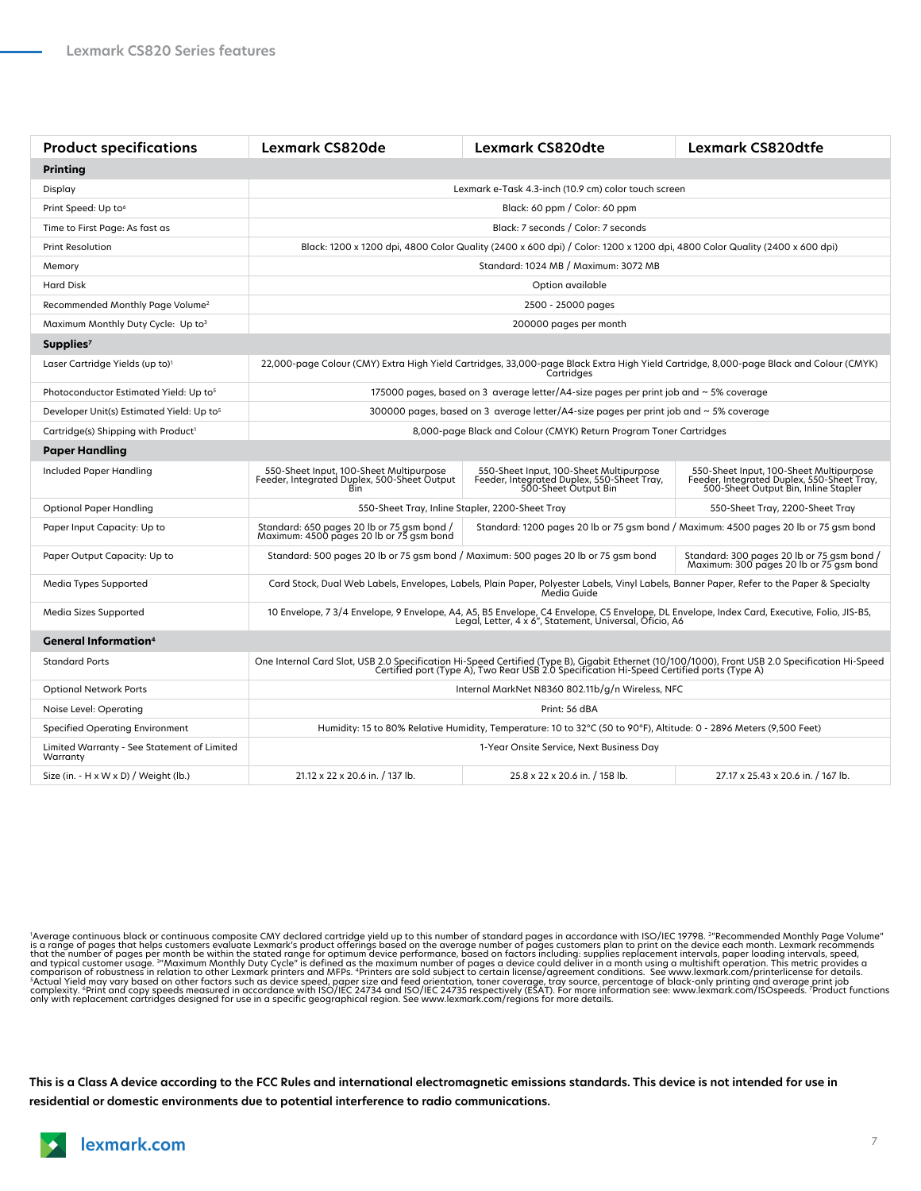| <b>Product specifications</b>                           | <b>Lexmark CS820de</b>                                                                                                                                                                                                            | <b>Lexmark CS820dte</b>                                                                                       | <b>Lexmark CS820dtfe</b>                                                                                                      |
|---------------------------------------------------------|-----------------------------------------------------------------------------------------------------------------------------------------------------------------------------------------------------------------------------------|---------------------------------------------------------------------------------------------------------------|-------------------------------------------------------------------------------------------------------------------------------|
| <b>Printing</b>                                         |                                                                                                                                                                                                                                   |                                                                                                               |                                                                                                                               |
| Display                                                 | Lexmark e-Task 4.3-inch (10.9 cm) color touch screen                                                                                                                                                                              |                                                                                                               |                                                                                                                               |
| Print Speed: Up to <sup>6</sup>                         | Black: 60 ppm / Color: 60 ppm                                                                                                                                                                                                     |                                                                                                               |                                                                                                                               |
| Time to First Page: As fast as                          | Black: 7 seconds / Color: 7 seconds                                                                                                                                                                                               |                                                                                                               |                                                                                                                               |
| <b>Print Resolution</b>                                 | Black: 1200 x 1200 dpi, 4800 Color Quality (2400 x 600 dpi) / Color: 1200 x 1200 dpi, 4800 Color Quality (2400 x 600 dpi)                                                                                                         |                                                                                                               |                                                                                                                               |
| Memory                                                  | Standard: 1024 MB / Maximum: 3072 MB                                                                                                                                                                                              |                                                                                                               |                                                                                                                               |
| <b>Hard Disk</b>                                        | Option available                                                                                                                                                                                                                  |                                                                                                               |                                                                                                                               |
| Recommended Monthly Page Volume <sup>2</sup>            | 2500 - 25000 pages                                                                                                                                                                                                                |                                                                                                               |                                                                                                                               |
| Maximum Monthly Duty Cycle: Up to3                      | 200000 pages per month                                                                                                                                                                                                            |                                                                                                               |                                                                                                                               |
| Supplies <sup>7</sup>                                   |                                                                                                                                                                                                                                   |                                                                                                               |                                                                                                                               |
| Laser Cartridge Yields (up to) <sup>1</sup>             | 22,000-page Colour (CMY) Extra High Yield Cartridges, 33,000-page Black Extra High Yield Cartridge, 8,000-page Black and Colour (CMYK)<br>Cartridges                                                                              |                                                                                                               |                                                                                                                               |
| Photoconductor Estimated Yield: Up to <sup>5</sup>      | 175000 pages, based on 3 average letter/A4-size pages per print job and $\sim$ 5% coverage                                                                                                                                        |                                                                                                               |                                                                                                                               |
| Developer Unit(s) Estimated Yield: Up to <sup>5</sup>   | 300000 pages, based on 3 average letter/A4-size pages per print job and $\sim$ 5% coverage                                                                                                                                        |                                                                                                               |                                                                                                                               |
| Cartridge(s) Shipping with Product <sup>1</sup>         | 8,000-page Black and Colour (CMYK) Return Program Toner Cartridges                                                                                                                                                                |                                                                                                               |                                                                                                                               |
| Paper Handling                                          |                                                                                                                                                                                                                                   |                                                                                                               |                                                                                                                               |
| Included Paper Handling                                 | 550-Sheet Input, 100-Sheet Multipurpose<br>Feeder, Integrated Duplex, 500-Sheet Output<br>Bin                                                                                                                                     | 550-Sheet Input, 100-Sheet Multipurpose<br>Feeder, Integrated Duplex, 550-Sheet Tray,<br>500-Sheet Output Bin | 550-Sheet Input, 100-Sheet Multipurpose<br>Feeder, Integrated Duplex, 550-Sheet Tray,<br>500-Sheet Output Bin, Inline Stapler |
| <b>Optional Paper Handling</b>                          | 550-Sheet Tray, Inline Stapler, 2200-Sheet Tray                                                                                                                                                                                   |                                                                                                               | 550-Sheet Tray, 2200-Sheet Tray                                                                                               |
| Paper Input Capacity: Up to                             | Standard: 650 pages 20 lb or 75 gsm bond /<br>Maximum: 4500 pages 20 lb or 75 gsm bond<br>Standard: 1200 pages 20 lb or 75 gsm bond / Maximum: 4500 pages 20 lb or 75 gsm bond                                                    |                                                                                                               |                                                                                                                               |
| Paper Output Capacity: Up to                            | Standard: 500 pages 20 lb or 75 gsm bond / Maximum: 500 pages 20 lb or 75 gsm bond<br>Standard: 300 pages 20 lb or 75 gsm bond /<br>Maximum: 300 pages 20 lb or 75 gsm bond                                                       |                                                                                                               |                                                                                                                               |
| Media Types Supported                                   | Card Stock, Dual Web Labels, Envelopes, Labels, Plain Paper, Polyester Labels, Vinyl Labels, Banner Paper, Refer to the Paper & Specialty<br>Média Guide                                                                          |                                                                                                               |                                                                                                                               |
| Media Sizes Supported                                   | 10 Envelope, 7 3/4 Envelope, 9 Envelope, A4, A5, B5 Envelope, C4 Envelope, C5 Envelope, DL Envelope, Index Card, Executive, Folio, JIS-B5,<br>Legal, Letter, 4 x 6", Statement, Universal, Oficio, A6                             |                                                                                                               |                                                                                                                               |
| <b>General Information</b> <sup>4</sup>                 |                                                                                                                                                                                                                                   |                                                                                                               |                                                                                                                               |
| <b>Standard Ports</b>                                   | One Internal Card Slot, USB 2.0 Specification Hi-Speed Certified (Type B), Gigabit Ethernet (10/100/1000), Front USB 2.0 Specification Hi-Speed<br>Certified port (Type A), Two Rear USB 2.0 Specification Hi-Speed Certified por |                                                                                                               |                                                                                                                               |
| <b>Optional Network Ports</b>                           | Internal MarkNet N8360 802.11b/g/n Wireless, NFC                                                                                                                                                                                  |                                                                                                               |                                                                                                                               |
| Noise Level: Operating                                  | Print: 56 dBA                                                                                                                                                                                                                     |                                                                                                               |                                                                                                                               |
| <b>Specified Operating Environment</b>                  | Humidity: 15 to 80% Relative Humidity, Temperature: 10 to 32°C (50 to 90°F), Altitude: 0 - 2896 Meters (9,500 Feet)                                                                                                               |                                                                                                               |                                                                                                                               |
| Limited Warranty - See Statement of Limited<br>Warranty | 1-Year Onsite Service, Next Business Day                                                                                                                                                                                          |                                                                                                               |                                                                                                                               |
| Size (in. - H x W x D) / Weight (lb.)                   | 21.12 x 22 x 20.6 in. / 137 lb.                                                                                                                                                                                                   | 25.8 x 22 x 20.6 in. / 158 lb.                                                                                | 27.17 x 25.43 x 20.6 in. / 167 lb.                                                                                            |

"Average continuous black or continuous composite CMY declared cartridge yield up to this number of standard pages in accordance with ISO/IEC 19798. ""Recommended Monthly Page Volume"<br>is a range of pages that helps custome

**This is a Class A device according to the FCC Rules and international electromagnetic emissions standards. This device is not intended for use in residential or domestic environments due to potential interference to radio communications.**